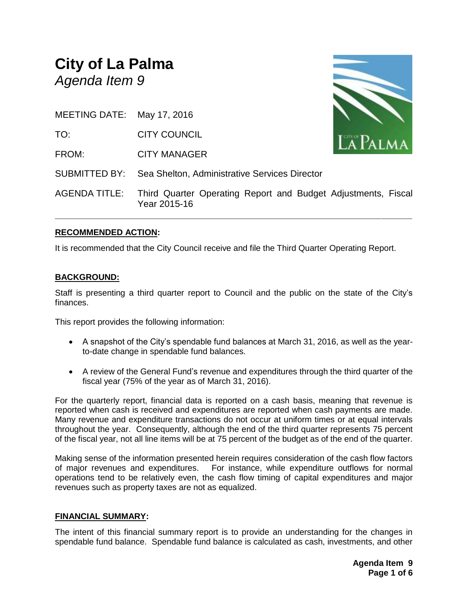# **City of La Palma** *Agenda Item 9*



| MEETING DATE: May 17, 2016 |  |
|----------------------------|--|
|                            |  |

TO: CITY COUNCIL

FROM: CITY MANAGER

SUBMITTED BY: Sea Shelton, Administrative Services Director

AGENDA TITLE: Third Quarter Operating Report and Budget Adjustments, Fiscal Year 2015-16

**\_\_\_\_\_\_\_\_\_\_\_\_\_\_\_\_\_\_\_\_\_\_\_\_\_\_\_\_\_\_\_\_\_\_\_\_\_\_\_\_\_\_\_\_\_\_\_\_\_\_\_\_\_\_\_\_\_\_\_\_\_\_\_\_\_\_\_\_\_\_**

# **RECOMMENDED ACTION:**

It is recommended that the City Council receive and file the Third Quarter Operating Report.

# **BACKGROUND:**

Staff is presenting a third quarter report to Council and the public on the state of the City's finances.

This report provides the following information:

- A snapshot of the City's spendable fund balances at March 31, 2016, as well as the yearto-date change in spendable fund balances.
- A review of the General Fund's revenue and expenditures through the third quarter of the fiscal year (75% of the year as of March 31, 2016).

For the quarterly report, financial data is reported on a cash basis, meaning that revenue is reported when cash is received and expenditures are reported when cash payments are made. Many revenue and expenditure transactions do not occur at uniform times or at equal intervals throughout the year. Consequently, although the end of the third quarter represents 75 percent of the fiscal year, not all line items will be at 75 percent of the budget as of the end of the quarter.

Making sense of the information presented herein requires consideration of the cash flow factors of major revenues and expenditures. For instance, while expenditure outflows for normal operations tend to be relatively even, the cash flow timing of capital expenditures and major revenues such as property taxes are not as equalized.

# **FINANCIAL SUMMARY:**

The intent of this financial summary report is to provide an understanding for the changes in spendable fund balance. Spendable fund balance is calculated as cash, investments, and other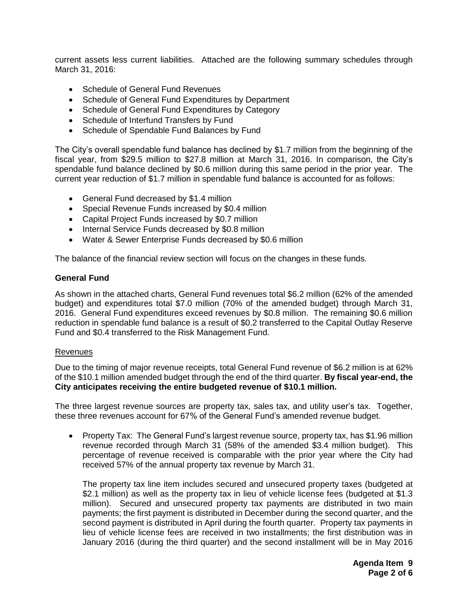current assets less current liabilities. Attached are the following summary schedules through March 31, 2016:

- Schedule of General Fund Revenues
- Schedule of General Fund Expenditures by Department
- Schedule of General Fund Expenditures by Category
- Schedule of Interfund Transfers by Fund
- Schedule of Spendable Fund Balances by Fund

The City's overall spendable fund balance has declined by \$1.7 million from the beginning of the fiscal year, from \$29.5 million to \$27.8 million at March 31, 2016. In comparison, the City's spendable fund balance declined by \$0.6 million during this same period in the prior year. The current year reduction of \$1.7 million in spendable fund balance is accounted for as follows:

- General Fund decreased by \$1.4 million
- Special Revenue Funds increased by \$0.4 million
- Capital Project Funds increased by \$0.7 million
- Internal Service Funds decreased by \$0.8 million
- Water & Sewer Enterprise Funds decreased by \$0.6 million

The balance of the financial review section will focus on the changes in these funds.

#### **General Fund**

As shown in the attached charts, General Fund revenues total \$6.2 million (62% of the amended budget) and expenditures total \$7.0 million (70% of the amended budget) through March 31, 2016. General Fund expenditures exceed revenues by \$0.8 million. The remaining \$0.6 million reduction in spendable fund balance is a result of \$0.2 transferred to the Capital Outlay Reserve Fund and \$0.4 transferred to the Risk Management Fund.

#### Revenues

Due to the timing of major revenue receipts, total General Fund revenue of \$6.2 million is at 62% of the \$10.1 million amended budget through the end of the third quarter. **By fiscal year-end, the City anticipates receiving the entire budgeted revenue of \$10.1 million.**

The three largest revenue sources are property tax, sales tax, and utility user's tax. Together, these three revenues account for 67% of the General Fund's amended revenue budget.

• Property Tax: The General Fund's largest revenue source, property tax, has \$1.96 million revenue recorded through March 31 (58% of the amended \$3.4 million budget). This percentage of revenue received is comparable with the prior year where the City had received 57% of the annual property tax revenue by March 31.

The property tax line item includes secured and unsecured property taxes (budgeted at \$2.1 million) as well as the property tax in lieu of vehicle license fees (budgeted at \$1.3 million). Secured and unsecured property tax payments are distributed in two main payments; the first payment is distributed in December during the second quarter, and the second payment is distributed in April during the fourth quarter. Property tax payments in lieu of vehicle license fees are received in two installments; the first distribution was in January 2016 (during the third quarter) and the second installment will be in May 2016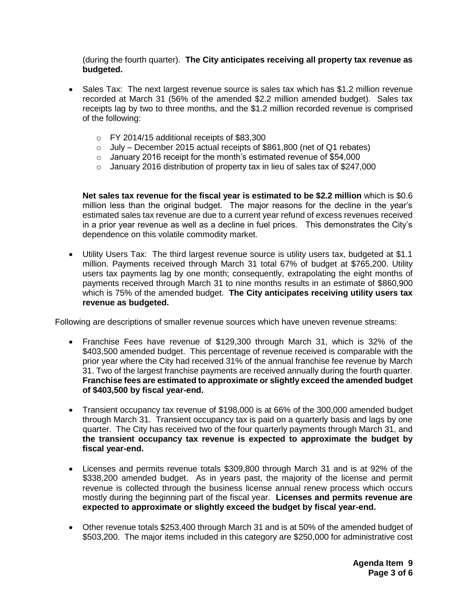(during the fourth quarter). **The City anticipates receiving all property tax revenue as budgeted.**

- Sales Tax: The next largest revenue source is sales tax which has \$1.2 million revenue recorded at March 31 (56% of the amended \$2.2 million amended budget). Sales tax receipts lag by two to three months, and the \$1.2 million recorded revenue is comprised of the following:
	- o FY 2014/15 additional receipts of \$83,300
	- o July December 2015 actual receipts of \$861,800 (net of Q1 rebates)
	- o January 2016 receipt for the month's estimated revenue of \$54,000
	- o January 2016 distribution of property tax in lieu of sales tax of \$247,000

**Net sales tax revenue for the fiscal year is estimated to be \$2.2 million** which is \$0.6 million less than the original budget. The major reasons for the decline in the year's estimated sales tax revenue are due to a current year refund of excess revenues received in a prior year revenue as well as a decline in fuel prices. This demonstrates the City's dependence on this volatile commodity market.

 Utility Users Tax: The third largest revenue source is utility users tax, budgeted at \$1.1 million. Payments received through March 31 total 67% of budget at \$765,200. Utility users tax payments lag by one month; consequently, extrapolating the eight months of payments received through March 31 to nine months results in an estimate of \$860,900 which is 75% of the amended budget. **The City anticipates receiving utility users tax revenue as budgeted.**

Following are descriptions of smaller revenue sources which have uneven revenue streams:

- Franchise Fees have revenue of \$129,300 through March 31, which is 32% of the \$403,500 amended budget. This percentage of revenue received is comparable with the prior year where the City had received 31% of the annual franchise fee revenue by March 31. Two of the largest franchise payments are received annually during the fourth quarter. **Franchise fees are estimated to approximate or slightly exceed the amended budget of \$403,500 by fiscal year-end.**
- Transient occupancy tax revenue of \$198,000 is at 66% of the 300,000 amended budget through March 31. Transient occupancy tax is paid on a quarterly basis and lags by one quarter. The City has received two of the four quarterly payments through March 31, and **the transient occupancy tax revenue is expected to approximate the budget by fiscal year-end.**
- Licenses and permits revenue totals \$309,800 through March 31 and is at 92% of the \$338,200 amended budget. As in years past, the majority of the license and permit revenue is collected through the business license annual renew process which occurs mostly during the beginning part of the fiscal year. **Licenses and permits revenue are expected to approximate or slightly exceed the budget by fiscal year-end.**
- Other revenue totals \$253,400 through March 31 and is at 50% of the amended budget of \$503,200. The major items included in this category are \$250,000 for administrative cost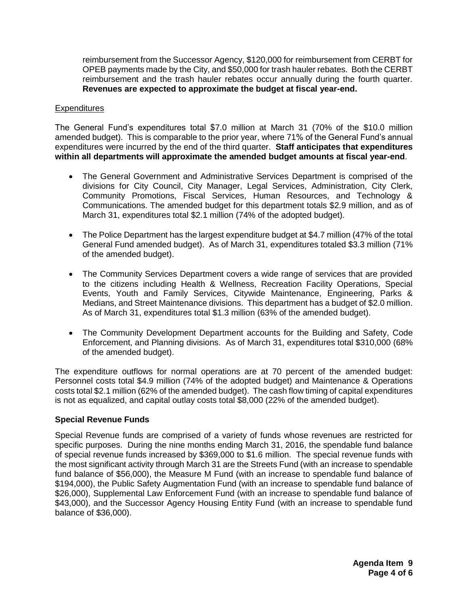reimbursement from the Successor Agency, \$120,000 for reimbursement from CERBT for OPEB payments made by the City, and \$50,000 for trash hauler rebates. Both the CERBT reimbursement and the trash hauler rebates occur annually during the fourth quarter. **Revenues are expected to approximate the budget at fiscal year-end.**

### **Expenditures**

The General Fund's expenditures total \$7.0 million at March 31 (70% of the \$10.0 million amended budget). This is comparable to the prior year, where 71% of the General Fund's annual expenditures were incurred by the end of the third quarter. **Staff anticipates that expenditures within all departments will approximate the amended budget amounts at fiscal year-end**.

- The General Government and Administrative Services Department is comprised of the divisions for City Council, City Manager, Legal Services, Administration, City Clerk, Community Promotions, Fiscal Services, Human Resources, and Technology & Communications. The amended budget for this department totals \$2.9 million, and as of March 31, expenditures total \$2.1 million (74% of the adopted budget).
- The Police Department has the largest expenditure budget at \$4.7 million (47% of the total General Fund amended budget). As of March 31, expenditures totaled \$3.3 million (71% of the amended budget).
- The Community Services Department covers a wide range of services that are provided to the citizens including Health & Wellness, Recreation Facility Operations, Special Events, Youth and Family Services, Citywide Maintenance, Engineering, Parks & Medians, and Street Maintenance divisions. This department has a budget of \$2.0 million. As of March 31, expenditures total \$1.3 million (63% of the amended budget).
- The Community Development Department accounts for the Building and Safety, Code Enforcement, and Planning divisions. As of March 31, expenditures total \$310,000 (68% of the amended budget).

The expenditure outflows for normal operations are at 70 percent of the amended budget: Personnel costs total \$4.9 million (74% of the adopted budget) and Maintenance & Operations costs total \$2.1 million (62% of the amended budget). The cash flow timing of capital expenditures is not as equalized, and capital outlay costs total \$8,000 (22% of the amended budget).

## **Special Revenue Funds**

Special Revenue funds are comprised of a variety of funds whose revenues are restricted for specific purposes. During the nine months ending March 31, 2016, the spendable fund balance of special revenue funds increased by \$369,000 to \$1.6 million. The special revenue funds with the most significant activity through March 31 are the Streets Fund (with an increase to spendable fund balance of \$56,000), the Measure M Fund (with an increase to spendable fund balance of \$194,000), the Public Safety Augmentation Fund (with an increase to spendable fund balance of \$26,000), Supplemental Law Enforcement Fund (with an increase to spendable fund balance of \$43,000), and the Successor Agency Housing Entity Fund (with an increase to spendable fund balance of \$36,000).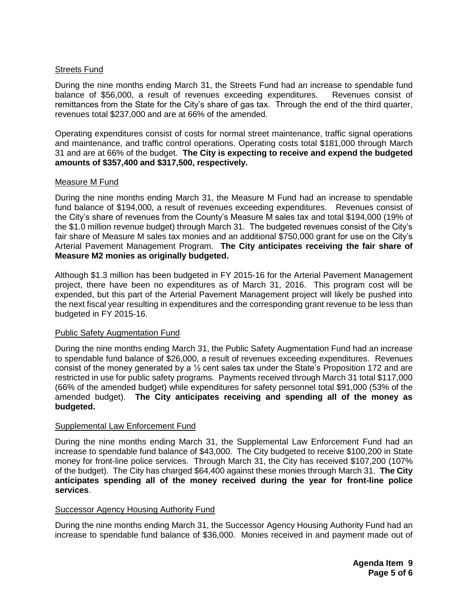## Streets Fund

During the nine months ending March 31, the Streets Fund had an increase to spendable fund balance of \$56,000, a result of revenues exceeding expenditures. Revenues consist of remittances from the State for the City's share of gas tax. Through the end of the third quarter, revenues total \$237,000 and are at 66% of the amended.

Operating expenditures consist of costs for normal street maintenance, traffic signal operations and maintenance, and traffic control operations. Operating costs total \$181,000 through March 31 and are at 66% of the budget. **The City is expecting to receive and expend the budgeted amounts of \$357,400 and \$317,500, respectively.**

## Measure M Fund

During the nine months ending March 31, the Measure M Fund had an increase to spendable fund balance of \$194,000, a result of revenues exceeding expenditures. Revenues consist of the City's share of revenues from the County's Measure M sales tax and total \$194,000 (19% of the \$1.0 million revenue budget) through March 31. The budgeted revenues consist of the City's fair share of Measure M sales tax monies and an additional \$750,000 grant for use on the City's Arterial Pavement Management Program. **The City anticipates receiving the fair share of Measure M2 monies as originally budgeted.**

Although \$1.3 million has been budgeted in FY 2015-16 for the Arterial Pavement Management project, there have been no expenditures as of March 31, 2016. This program cost will be expended, but this part of the Arterial Pavement Management project will likely be pushed into the next fiscal year resulting in expenditures and the corresponding grant revenue to be less than budgeted in FY 2015-16.

#### Public Safety Augmentation Fund

During the nine months ending March 31, the Public Safety Augmentation Fund had an increase to spendable fund balance of \$26,000, a result of revenues exceeding expenditures. Revenues consist of the money generated by a  $\frac{1}{2}$  cent sales tax under the State's Proposition 172 and are restricted in use for public safety programs. Payments received through March 31 total \$117,000 (66% of the amended budget) while expenditures for safety personnel total \$91,000 (53% of the amended budget). **The City anticipates receiving and spending all of the money as budgeted.**

## Supplemental Law Enforcement Fund

During the nine months ending March 31, the Supplemental Law Enforcement Fund had an increase to spendable fund balance of \$43,000. The City budgeted to receive \$100,200 in State money for front-line police services. Through March 31, the City has received \$107,200 (107% of the budget). The City has charged \$64,400 against these monies through March 31. **The City anticipates spending all of the money received during the year for front-line police services**.

#### Successor Agency Housing Authority Fund

During the nine months ending March 31, the Successor Agency Housing Authority Fund had an increase to spendable fund balance of \$36,000. Monies received in and payment made out of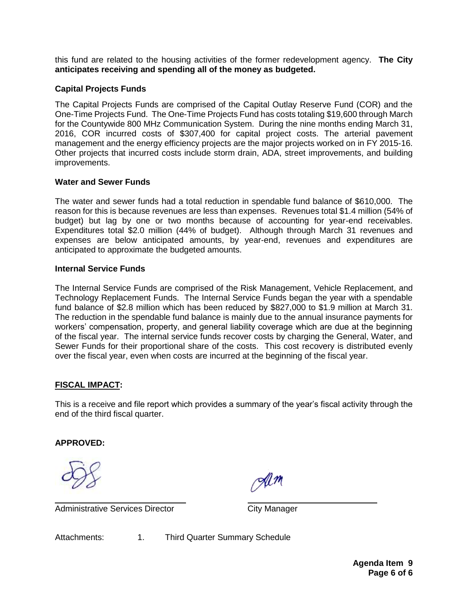this fund are related to the housing activities of the former redevelopment agency. **The City anticipates receiving and spending all of the money as budgeted.**

## **Capital Projects Funds**

The Capital Projects Funds are comprised of the Capital Outlay Reserve Fund (COR) and the One-Time Projects Fund. The One-Time Projects Fund has costs totaling \$19,600 through March for the Countywide 800 MHz Communication System. During the nine months ending March 31, 2016, COR incurred costs of \$307,400 for capital project costs. The arterial pavement management and the energy efficiency projects are the major projects worked on in FY 2015-16. Other projects that incurred costs include storm drain, ADA, street improvements, and building improvements.

## **Water and Sewer Funds**

The water and sewer funds had a total reduction in spendable fund balance of \$610,000. The reason for this is because revenues are less than expenses. Revenues total \$1.4 million (54% of budget) but lag by one or two months because of accounting for year-end receivables. Expenditures total \$2.0 million (44% of budget). Although through March 31 revenues and expenses are below anticipated amounts, by year-end, revenues and expenditures are anticipated to approximate the budgeted amounts.

## **Internal Service Funds**

The Internal Service Funds are comprised of the Risk Management, Vehicle Replacement, and Technology Replacement Funds. The Internal Service Funds began the year with a spendable fund balance of \$2.8 million which has been reduced by \$827,000 to \$1.9 million at March 31. The reduction in the spendable fund balance is mainly due to the annual insurance payments for workers' compensation, property, and general liability coverage which are due at the beginning of the fiscal year. The internal service funds recover costs by charging the General, Water, and Sewer Funds for their proportional share of the costs. This cost recovery is distributed evenly over the fiscal year, even when costs are incurred at the beginning of the fiscal year.

# **FISCAL IMPACT:**

This is a receive and file report which provides a summary of the year's fiscal activity through the end of the third fiscal quarter.

# **APPROVED:**

Administrative Services Director **City Manager** 

Attachments: 1. Third Quarter Summary Schedule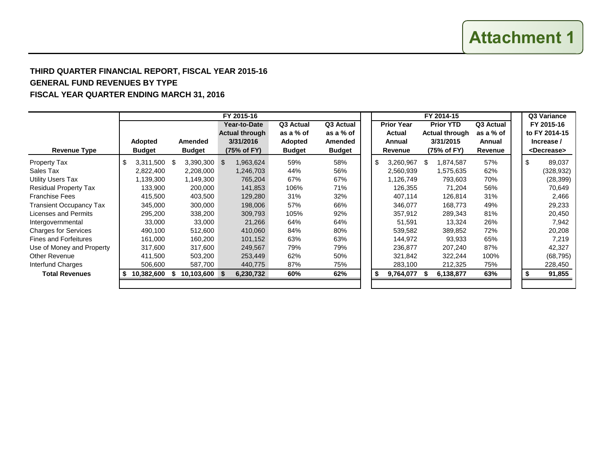**Attachment 1**

# **THIRD QUARTER FINANCIAL REPORT, FISCAL YEAR 2015-16 GENERAL FUND REVENUES BY TYPE FISCAL YEAR QUARTER ENDING MARCH 31, 2016**

|                                |                    |               | FY 2015-16            |               |                | FY 2014-15        |           |     |                       |           |  |  | Q3 Variance           |
|--------------------------------|--------------------|---------------|-----------------------|---------------|----------------|-------------------|-----------|-----|-----------------------|-----------|--|--|-----------------------|
|                                |                    |               | Year-to-Date          | Q3 Actual     | Q3 Actual      | <b>Prior Year</b> |           |     | <b>Prior YTD</b>      | Q3 Actual |  |  | FY 2015-16            |
|                                |                    |               | <b>Actual through</b> | as a % of     | as a % of      |                   | Actual    |     | <b>Actual through</b> | as a % of |  |  | to FY 2014-15         |
|                                | Adopted            | Amended       | 3/31/2016             | Adopted       | <b>Amended</b> |                   | Annual    |     | 3/31/2015             | Annual    |  |  | Increase /            |
| <b>Revenue Type</b>            | <b>Budget</b>      | <b>Budget</b> | (75% of FY)           | <b>Budget</b> | <b>Budget</b>  |                   | Revenue   |     | (75% of FY)           | Revenue   |  |  | <decrease></decrease> |
| <b>Property Tax</b>            | \$<br>3,311,500 \$ | 3,390,300 \$  | 1,963,624             | 59%           | 58%            | \$                | 3,260,967 | \$. | 1,874,587             | 57%       |  |  | \$<br>89,037          |
| Sales Tax                      | 2,822,400          | 2,208,000     | 1,246,703             | 44%           | 56%            |                   | 2,560,939 |     | 1,575,635             | 62%       |  |  | (328, 932)            |
| <b>Utility Users Tax</b>       | 1,139,300          | 1,149,300     | 765,204               | 67%           | 67%            |                   | 1,126,749 |     | 793,603               | 70%       |  |  | (28, 399)             |
| <b>Residual Property Tax</b>   | 133,900            | 200,000       | 141,853               | 106%          | 71%            |                   | 126,355   |     | 71,204                | 56%       |  |  | 70,649                |
| <b>Franchise Fees</b>          | 415,500            | 403,500       | 129,280               | 31%           | 32%            |                   | 407,114   |     | 126,814               | 31%       |  |  | 2,466                 |
| <b>Transient Occupancy Tax</b> | 345,000            | 300,000       | 198,006               | 57%           | 66%            |                   | 346,077   |     | 168,773               | 49%       |  |  | 29,233                |
| Licenses and Permits           | 295,200            | 338,200       | 309,793               | 105%          | 92%            |                   | 357,912   |     | 289,343               | 81%       |  |  | 20,450                |
| Intergovernmental              | 33,000             | 33,000        | 21,266                | 64%           | 64%            |                   | 51,591    |     | 13,324                | 26%       |  |  | 7,942                 |
| <b>Charges for Services</b>    | 490,100            | 512,600       | 410,060               | 84%           | 80%            |                   | 539,582   |     | 389,852               | 72%       |  |  | 20,208                |
| <b>Fines and Forfeitures</b>   | 161,000            | 160,200       | 101,152               | 63%           | 63%            |                   | 144,972   |     | 93,933                | 65%       |  |  | 7,219                 |
| Use of Money and Property      | 317,600            | 317,600       | 249,567               | 79%           | 79%            |                   | 236,877   |     | 207,240               | 87%       |  |  | 42,327                |
| Other Revenue                  | 411,500            | 503,200       | 253,449               | 62%           | 50%            |                   | 321,842   |     | 322,244               | 100%      |  |  | (68, 795)             |
| Interfund Charges              | 506,600            | 587,700       | 440,775               | 87%           | 75%            |                   | 283,100   |     | 212,325               | 75%       |  |  | 228,450               |
| <b>Total Revenues</b>          | 10,382,600         | 10,103,600 \$ | 6,230,732             | 60%           | 62%            | \$                | 9,764,077 |     | 6,138,877             | 63%       |  |  | 91,855                |
|                                |                    |               |                       |               |                |                   |           |     |                       |           |  |  |                       |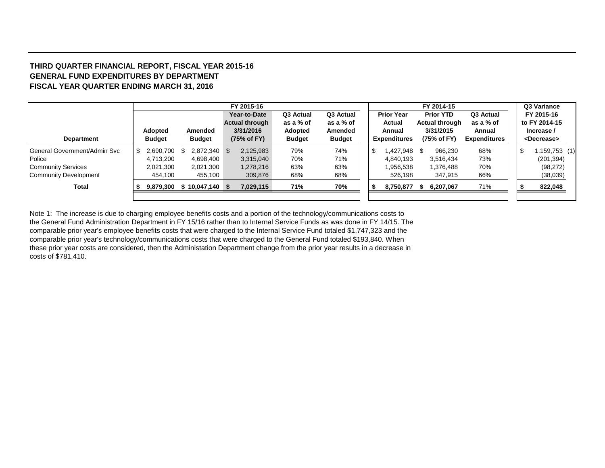#### **THIRD QUARTER FINANCIAL REPORT, FISCAL YEAR 2015-16 GENERAL FUND EXPENDITURES BY DEPARTMENT FISCAL YEAR QUARTER ENDING MARCH 31, 2016**

|                              |     |                |                  | FY 2015-16 |                       |               |               |  |                     | FY 2014-15            |                     |     | Q3 Variance           |
|------------------------------|-----|----------------|------------------|------------|-----------------------|---------------|---------------|--|---------------------|-----------------------|---------------------|-----|-----------------------|
|                              |     |                |                  |            | Year-to-Date          | Q3 Actual     | Q3 Actual     |  | <b>Prior Year</b>   | <b>Prior YTD</b>      | Q3 Actual           |     | FY 2015-16            |
|                              |     |                |                  |            | <b>Actual through</b> | as a % of     | as a % of     |  | Actual              | <b>Actual through</b> | as a % of           |     | to FY 2014-15         |
|                              |     | <b>Adopted</b> | Amended          |            | 3/31/2016             | Adopted       | Amended       |  | Annual              | 3/31/2015             | Annual              |     | Increase /            |
| <b>Department</b>            |     | <b>Budget</b>  | <b>Budget</b>    |            | (75% of FY)           | <b>Budget</b> | <b>Budget</b> |  | <b>Expenditures</b> | (75% of FY)           | <b>Expenditures</b> |     | <decrease></decrease> |
| General Government/Admin Svc | -SG | 2,690,700      | 2,872,340 \$     |            | 2,125,983             | 79%           | 74%           |  | \$<br>1,427,948 \$  | 966,230               | 68%                 | -\$ | (1) 159,753           |
| Police                       |     | 4,713,200      | 4,698,400        |            | 3,315,040             | 70%           | 71%           |  | 4.840.193           | 3,516,434             | 73%                 |     | (201, 394)            |
| <b>Community Services</b>    |     | 2,021,300      | 2,021,300        |            | 1,278,216             | 63%           | 63%           |  | 1,956,538           | 1,376,488             | 70%                 |     | (98, 272)             |
| <b>Community Development</b> |     | 454,100        | 455,100          |            | 309,876               | 68%           | 68%           |  | 526,198             | 347,915               | 66%                 |     | (38,039)              |
| Total                        |     | 9,879,300      | $$10,047,140$ \$ |            | 7,029,115             | 71%           | 70%           |  | 8,750,877 \$        | 6,207,067             | 71%                 |     | 822,048               |
|                              |     |                |                  |            |                       |               |               |  |                     |                       |                     |     |                       |

Note 1: The increase is due to charging employee benefits costs and a portion of the technology/communications costs to the General Fund Administration Department in FY 15/16 rather than to Internal Service Funds as was done in FY 14/15. The comparable prior year's employee benefits costs that were charged to the Internal Service Fund totaled \$1,747,323 and the comparable prior year's technology/communications costs that were charged to the General Fund totaled \$193,840. When these prior year costs are considered, then the Administation Department change from the prior year results in a decrease in costs of \$781,410.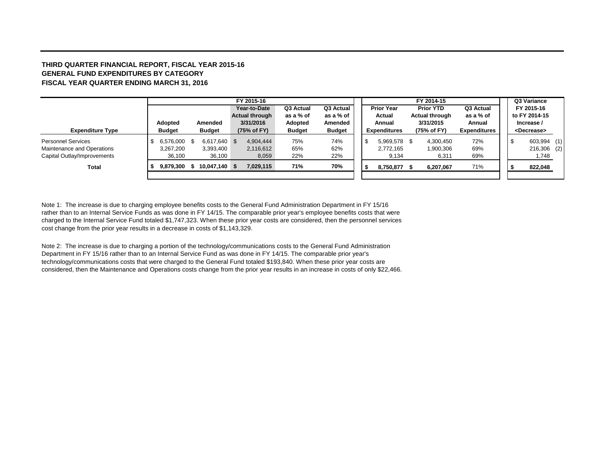#### **THIRD QUARTER FINANCIAL REPORT, FISCAL YEAR 2015-16 GENERAL FUND EXPENDITURES BY CATEGORY FISCAL YEAR QUARTER ENDING MARCH 31, 2016**

|                             |               |               | FY 2015-16            |               |               |     |                     | FY 2014-15            |                     |  | Q3 Variance           |  |
|-----------------------------|---------------|---------------|-----------------------|---------------|---------------|-----|---------------------|-----------------------|---------------------|--|-----------------------|--|
|                             |               |               | Year-to-Date          | Q3 Actual     | Q3 Actual     |     | <b>Prior Year</b>   | <b>Prior YTD</b>      | Q3 Actual           |  | FY 2015-16            |  |
|                             |               |               | <b>Actual through</b> | as a % of     | as a % of     |     | Actual              | <b>Actual through</b> | as a % of           |  | to FY 2014-15         |  |
|                             | Adopted       | Amended       | 3/31/2016             | Adopted       | Amended       |     | Annual              | 3/31/2015             | Annual              |  | Increase /            |  |
| <b>Expenditure Type</b>     | <b>Budget</b> | <b>Budget</b> | (75% of FY)           | <b>Budget</b> | <b>Budget</b> |     | <b>Expenditures</b> | (75% of FY)           | <b>Expenditures</b> |  | <decrease></decrease> |  |
| <b>Personnel Services</b>   | 6,576,000 \$  | 6,617,640 \$  | 4,904,444             | 75%           | 74%           | -\$ | 5,969,578           | 4,300,450             | 72%                 |  | 603,994 (1)           |  |
| Maintenance and Operations  | 3,267,200     | 3,393,400     | 2,116,612             | 65%           | 62%           |     | 2,772,165           | 1,900,306             | 69%                 |  | 216,306 (2)           |  |
| Capital Outlay/Improvements | 36.100        | 36,100        | 8,059                 | 22%           | 22%           |     | 9,134               | 6,311                 | 69%                 |  | 1,748                 |  |
| Total                       | 9,879,300     | 10,047,140 \$ | 7,029,115             | 71%           | 70%           |     | 8,750,877           | 6,207,067             | 71%                 |  | 822,048               |  |
|                             |               |               |                       |               |               |     |                     |                       |                     |  |                       |  |

Note 1: The increase is due to charging employee benefits costs to the General Fund Administration Department in FY 15/16 rather than to an Internal Service Funds as was done in FY 14/15. The comparable prior year's employee benefits costs that were charged to the Internal Service Fund totaled \$1,747,323. When these prior year costs are considered, then the personnel services cost change from the prior year results in a decrease in costs of \$1,143,329.

Note 2: The increase is due to charging a portion of the technology/communications costs to the General Fund Administration Department in FY 15/16 rather than to an Internal Service Fund as was done in FY 14/15. The comparable prior year's technology/communications costs that were charged to the General Fund totaled \$193,840. When these prior year costs are considered, then the Maintenance and Operations costs change from the prior year results in an increase in costs of only \$22,466.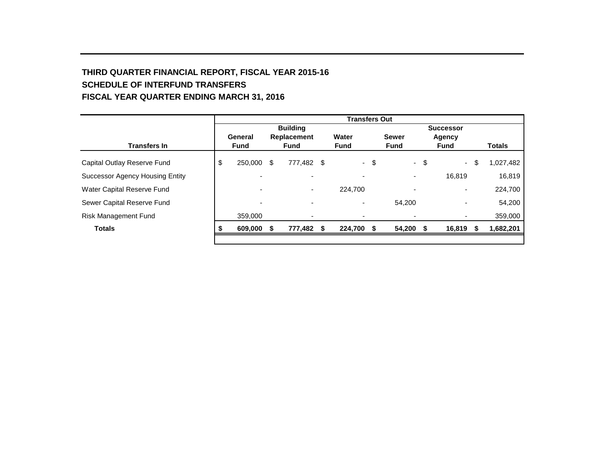# **THIRD QUARTER FINANCIAL REPORT, FISCAL YEAR 2015-16 SCHEDULE OF INTERFUND TRANSFERS FISCAL YEAR QUARTER ENDING MARCH 31, 2016**

|                                 |   | <b>Transfers Out</b>     |    |                 |  |             |      |                          |                  |             |      |               |  |
|---------------------------------|---|--------------------------|----|-----------------|--|-------------|------|--------------------------|------------------|-------------|------|---------------|--|
|                                 |   |                          |    | <b>Building</b> |  |             |      |                          | <b>Successor</b> |             |      |               |  |
|                                 |   | General                  |    | Replacement     |  | Water       |      | <b>Sewer</b>             |                  | Agency      |      |               |  |
| <b>Transfers In</b>             |   | <b>Fund</b>              |    | <b>Fund</b>     |  | <b>Fund</b> |      | <b>Fund</b>              |                  | <b>Fund</b> |      | <b>Totals</b> |  |
| Capital Outlay Reserve Fund     | ა | 250,000                  | \$ | 777,482 \$      |  |             | - \$ |                          | $-$ \$           | $\sim 10$   | -\$  | 1,027,482     |  |
| Successor Agency Housing Entity |   |                          |    |                 |  |             |      | $\overline{\phantom{a}}$ |                  | 16.819      |      | 16,819        |  |
| Water Capital Reserve Fund      |   | $\overline{\phantom{0}}$ |    |                 |  | 224,700     |      |                          |                  |             |      | 224,700       |  |
| Sewer Capital Reserve Fund      |   | ٠                        |    |                 |  |             |      | 54.200                   |                  |             |      | 54,200        |  |
| <b>Risk Management Fund</b>     |   | 359,000                  |    | ٠               |  |             |      | $\overline{\phantom{a}}$ |                  |             |      | 359,000       |  |
| <b>Totals</b>                   |   | 609,000                  | S  | 777,482 \$      |  | 224,700     | S    | 54,200                   | Ŝ.               | 16,819      | - \$ | 1,682,201     |  |
|                                 |   |                          |    |                 |  |             |      |                          |                  |             |      |               |  |